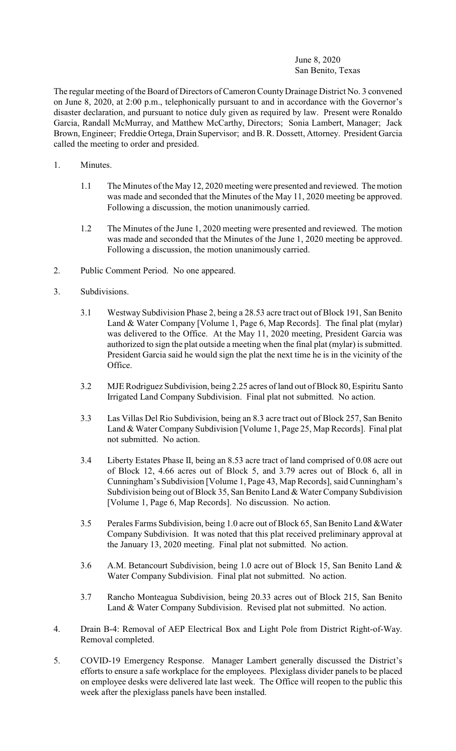## June 8, 2020 San Benito, Texas

The regular meeting of the Board of Directors of Cameron County Drainage District No. 3 convened on June 8, 2020, at 2:00 p.m., telephonically pursuant to and in accordance with the Governor's disaster declaration, and pursuant to notice duly given as required by law. Present were Ronaldo Garcia, Randall McMurray, and Matthew McCarthy, Directors; Sonia Lambert, Manager; Jack Brown, Engineer; Freddie Ortega, Drain Supervisor; and B. R. Dossett, Attorney. President Garcia called the meeting to order and presided.

- 1. Minutes.
	- 1.1 The Minutes of the May 12, 2020 meeting were presented and reviewed. The motion was made and seconded that the Minutes of the May 11, 2020 meeting be approved. Following a discussion, the motion unanimously carried.
	- 1.2 The Minutes of the June 1, 2020 meeting were presented and reviewed. The motion was made and seconded that the Minutes of the June 1, 2020 meeting be approved. Following a discussion, the motion unanimously carried.
- 2. Public Comment Period. No one appeared.
- 3. Subdivisions.
	- 3.1 Westway Subdivision Phase 2, being a 28.53 acre tract out of Block 191, San Benito Land & Water Company [Volume 1, Page 6, Map Records]. The final plat (mylar) was delivered to the Office. At the May 11, 2020 meeting, President Garcia was authorized to sign the plat outside a meeting when the final plat (mylar) is submitted. President Garcia said he would sign the plat the next time he is in the vicinity of the Office.
	- 3.2 MJE Rodriguez Subdivision, being 2.25 acres of land out of Block 80, Espiritu Santo Irrigated Land Company Subdivision. Final plat not submitted. No action.
	- 3.3 Las Villas Del Rio Subdivision, being an 8.3 acre tract out of Block 257, San Benito Land & Water Company Subdivision [Volume 1, Page 25, Map Records]. Final plat not submitted. No action.
	- 3.4 Liberty Estates Phase II, being an 8.53 acre tract of land comprised of 0.08 acre out of Block 12, 4.66 acres out of Block 5, and 3.79 acres out of Block 6, all in Cunningham's Subdivision [Volume 1, Page 43, Map Records], said Cunningham's Subdivision being out of Block 35, San Benito Land & Water Company Subdivision [Volume 1, Page 6, Map Records]. No discussion. No action.
	- 3.5 Perales Farms Subdivision, being 1.0 acre out of Block 65, San Benito Land &Water Company Subdivision. It was noted that this plat received preliminary approval at the January 13, 2020 meeting. Final plat not submitted. No action.
	- 3.6 A.M. Betancourt Subdivision, being 1.0 acre out of Block 15, San Benito Land & Water Company Subdivision. Final plat not submitted. No action.
	- 3.7 Rancho Monteagua Subdivision, being 20.33 acres out of Block 215, San Benito Land & Water Company Subdivision. Revised plat not submitted. No action.
- 4. Drain B-4: Removal of AEP Electrical Box and Light Pole from District Right-of-Way. Removal completed.
- 5. COVID-19 Emergency Response. Manager Lambert generally discussed the District's efforts to ensure a safe workplace for the employees. Plexiglass divider panels to be placed on employee desks were delivered late last week. The Office will reopen to the public this week after the plexiglass panels have been installed.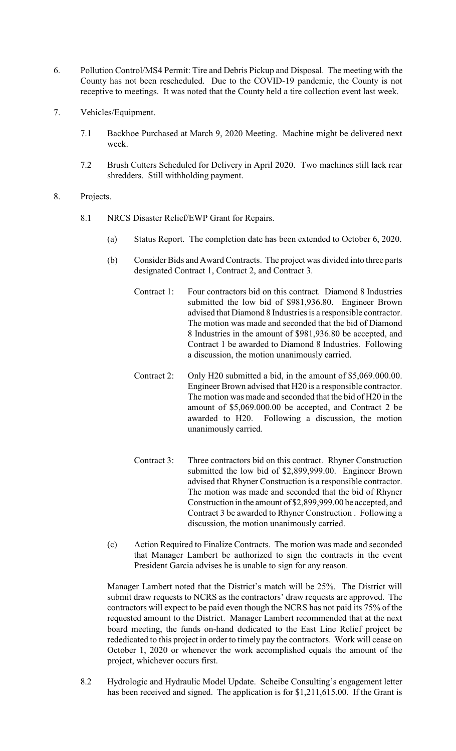- 6. Pollution Control/MS4 Permit: Tire and Debris Pickup and Disposal. The meeting with the County has not been rescheduled. Due to the COVID-19 pandemic, the County is not receptive to meetings. It was noted that the County held a tire collection event last week.
- 7. Vehicles/Equipment.
	- 7.1 Backhoe Purchased at March 9, 2020 Meeting. Machine might be delivered next week.
	- 7.2 Brush Cutters Scheduled for Delivery in April 2020. Two machines still lack rear shredders. Still withholding payment.
- 8. Projects.
	- 8.1 NRCS Disaster Relief/EWP Grant for Repairs.
		- (a) Status Report. The completion date has been extended to October 6, 2020.
		- (b) Consider Bids and AwardContracts. The project was divided into three parts designated Contract 1, Contract 2, and Contract 3.
			- Contract 1: Four contractors bid on this contract. Diamond 8 Industries submitted the low bid of \$981,936.80. Engineer Brown advised that Diamond 8 Industries is a responsible contractor. The motion was made and seconded that the bid of Diamond 8 Industries in the amount of \$981,936.80 be accepted, and Contract 1 be awarded to Diamond 8 Industries. Following a discussion, the motion unanimously carried.
			- Contract 2: Only H20 submitted a bid, in the amount of \$5,069.000.00. Engineer Brown advised that H20 is a responsible contractor. The motion was made and seconded that the bid of H20 in the amount of \$5,069.000.00 be accepted, and Contract 2 be awarded to H20. Following a discussion, the motion unanimously carried.
			- Contract 3: Three contractors bid on this contract. Rhyner Construction submitted the low bid of \$2,899,999.00. Engineer Brown advised that Rhyner Construction is a responsible contractor. The motion was made and seconded that the bid of Rhyner Construction in the amount of \$2,899,999.00 be accepted, and Contract 3 be awarded to Rhyner Construction . Following a discussion, the motion unanimously carried.
		- (c) Action Required to Finalize Contracts. The motion was made and seconded that Manager Lambert be authorized to sign the contracts in the event President Garcia advises he is unable to sign for any reason.

Manager Lambert noted that the District's match will be 25%. The District will submit draw requests to NCRS as the contractors' draw requests are approved. The contractors will expect to be paid even though the NCRS has not paid its 75% of the requested amount to the District. Manager Lambert recommended that at the next board meeting, the funds on-hand dedicated to the East Line Relief project be rededicated to this project in order to timely pay the contractors. Work will cease on October 1, 2020 or whenever the work accomplished equals the amount of the project, whichever occurs first.

8.2 Hydrologic and Hydraulic Model Update. Scheibe Consulting's engagement letter has been received and signed. The application is for \$1,211,615.00. If the Grant is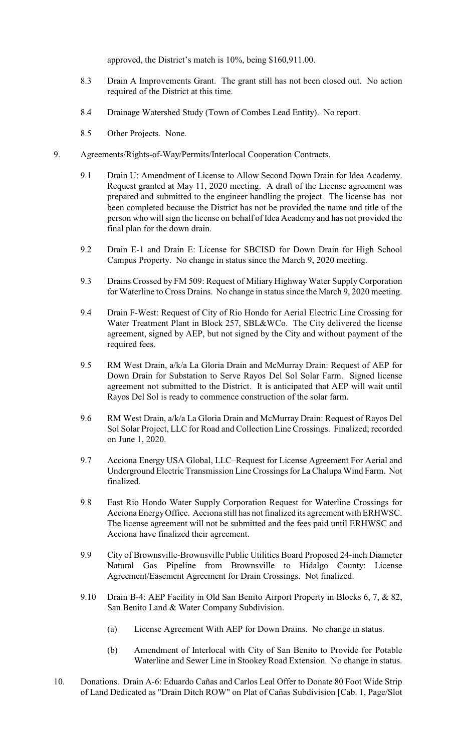approved, the District's match is 10%, being \$160,911.00.

- 8.3 Drain A Improvements Grant. The grant still has not been closed out. No action required of the District at this time.
- 8.4 Drainage Watershed Study (Town of Combes Lead Entity). No report.
- 8.5 Other Projects. None.
- 9. Agreements/Rights-of-Way/Permits/Interlocal Cooperation Contracts.
	- 9.1 Drain U: Amendment of License to Allow Second Down Drain for Idea Academy. Request granted at May 11, 2020 meeting. A draft of the License agreement was prepared and submitted to the engineer handling the project. The license has not been completed because the District has not be provided the name and title of the person who will sign the license on behalf of Idea Academy and has not provided the final plan for the down drain.
	- 9.2 Drain E-1 and Drain E: License for SBCISD for Down Drain for High School Campus Property. No change in status since the March 9, 2020 meeting.
	- 9.3 Drains Crossed by FM 509: Request of Miliary Highway Water Supply Corporation for Waterline to Cross Drains. No change in status since the March 9, 2020 meeting.
	- 9.4 Drain F-West: Request of City of Rio Hondo for Aerial Electric Line Crossing for Water Treatment Plant in Block 257, SBL&WCo. The City delivered the license agreement, signed by AEP, but not signed by the City and without payment of the required fees.
	- 9.5 RM West Drain, a/k/a La Gloria Drain and McMurray Drain: Request of AEP for Down Drain for Substation to Serve Rayos Del Sol Solar Farm. Signed license agreement not submitted to the District. It is anticipated that AEP will wait until Rayos Del Sol is ready to commence construction of the solar farm.
	- 9.6 RM West Drain, a/k/a La Gloria Drain and McMurray Drain: Request of Rayos Del Sol Solar Project, LLC for Road and Collection Line Crossings. Finalized; recorded on June 1, 2020.
	- 9.7 Acciona Energy USA Global, LLC–Request for License Agreement For Aerial and Underground Electric Transmission Line Crossings for La Chalupa Wind Farm. Not finalized.
	- 9.8 East Rio Hondo Water Supply Corporation Request for Waterline Crossings for Acciona Energy Office. Acciona still has not finalized its agreement with ERHWSC. The license agreement will not be submitted and the fees paid until ERHWSC and Acciona have finalized their agreement.
	- 9.9 City of Brownsville-Brownsville Public Utilities Board Proposed 24-inch Diameter Natural Gas Pipeline from Brownsville to Hidalgo County: License Agreement/Easement Agreement for Drain Crossings. Not finalized.
	- 9.10 Drain B-4: AEP Facility in Old San Benito Airport Property in Blocks 6, 7, & 82, San Benito Land & Water Company Subdivision.
		- (a) License Agreement With AEP for Down Drains. No change in status.
		- (b) Amendment of Interlocal with City of San Benito to Provide for Potable Waterline and Sewer Line in Stookey Road Extension. No change in status.
- 10. Donations. Drain A-6: Eduardo Cañas and Carlos Leal Offer to Donate 80 Foot Wide Strip of Land Dedicated as "Drain Ditch ROW" on Plat of Cañas Subdivision [Cab. 1, Page/Slot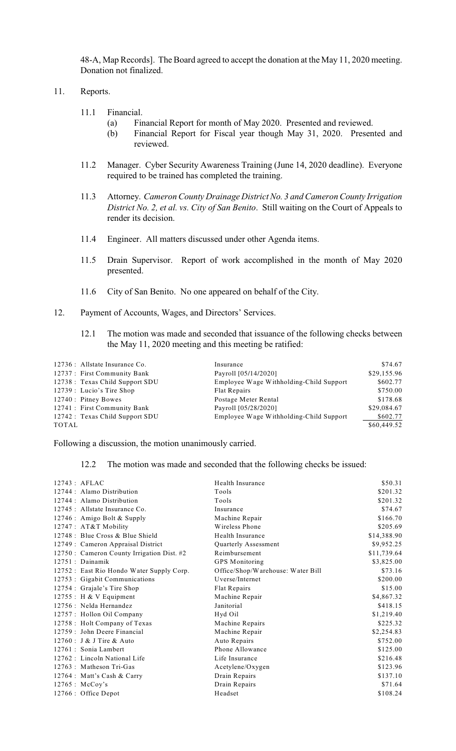48-A, Map Records]. The Board agreed to accept the donation at the May 11, 2020 meeting. Donation not finalized.

## 11. Reports.

- 11.1 Financial.
	- (a) Financial Report for month of May 2020. Presented and reviewed.
	- (b) Financial Report for Fiscal year though May 31, 2020. Presented and reviewed.
- 11.2 Manager. Cyber Security Awareness Training (June 14, 2020 deadline). Everyone required to be trained has completed the training.
- 11.3 Attorney. *Cameron County Drainage District No. 3 and Cameron County Irrigation District No. 2, et al. vs. City of San Benito*. Still waiting on the Court of Appeals to render its decision.
- 11.4 Engineer. All matters discussed under other Agenda items.
- 11.5 Drain Supervisor. Report of work accomplished in the month of May 2020 presented.
- 11.6 City of San Benito. No one appeared on behalf of the City.
- 12. Payment of Accounts, Wages, and Directors' Services.
	- 12.1 The motion was made and seconded that issuance of the following checks between the May 11, 2020 meeting and this meeting be ratified:

| \$29,155.96<br>Payroll [05/14/2020]                 |
|-----------------------------------------------------|
|                                                     |
| \$602.77<br>Employee Wage Withholding-Child Support |
| \$750.00<br>Flat Repairs                            |
| \$178.68<br>Postage Meter Rental                    |
| \$29,084.67<br>Payroll [05/28/2020]                 |
| Employee Wage Withholding-Child Support<br>\$602.77 |
| \$60,449.52                                         |
|                                                     |

Following a discussion, the motion unanimously carried.

## 12.2 The motion was made and seconded that the following checks be issued:

| $12743$ : AFLAC                            | Health Insurance                  |             |
|--------------------------------------------|-----------------------------------|-------------|
|                                            |                                   | \$50.31     |
| 12744 : Alamo Distribution                 | Tools                             | \$201.32    |
| 12744 : Alamo Distribution                 | Tools                             | \$201.32    |
| 12745 : Allstate Insurance Co.             | Insurance                         | \$74.67     |
| 12746 : Amigo Bolt & Supply                | Machine Repair                    | \$166.70    |
| 12747 : AT&T Mobility                      | Wireless Phone                    | \$205.69    |
| 12748 : Blue Cross & Blue Shield           | Health Insurance                  | \$14,388.90 |
| 12749 : Cameron Appraisal District         | Quarterly Assessment              | \$9,952.25  |
| 12750 : Cameron County Irrigation Dist. #2 | Reimbursement                     | \$11,739.64 |
| 12751 : Dainamik                           | <b>GPS</b> Monitoring             | \$3,825.00  |
| 12752 : East Rio Hondo Water Supply Corp.  | Office/Shop/Warehouse: Water Bill | \$73.16     |
| 12753 : Gigabit Communications             | Uverse/Internet                   | \$200.00    |
| 12754 : Grajale's Tire Shop                | Flat Repairs                      | \$15.00     |
| $12755$ : H & V Equipment                  | Machine Repair                    | \$4,867.32  |
| 12756 : Nelda Hernandez                    | Janitorial                        | \$418.15    |
| 12757: Hollon Oil Company                  | Hyd Oil                           | \$1,219.40  |
| 12758 : Holt Company of Texas              | Machine Repairs                   | \$225.32    |
| 12759 : John Deere Financial               | Machine Repair                    | \$2,254.83  |
| 12760 : J & J Tire & Auto                  | Auto Repairs                      | \$752.00    |
| 12761 : Sonia Lambert                      | Phone Allowance                   | \$125.00    |
| 12762 : Lincoln National Life              | Life Insurance                    | \$216.48    |
| 12763 : Matheson Tri-Gas                   | Acetylene/Oxygen                  | \$123.96    |
| 12764 : Matt's Cash & Carry                | Drain Repairs                     | \$137.10    |
| $12765$ : McCoy's                          | Drain Repairs                     | \$71.64     |
| 12766 : Office Depot                       | Headset                           | \$108.24    |
|                                            |                                   |             |